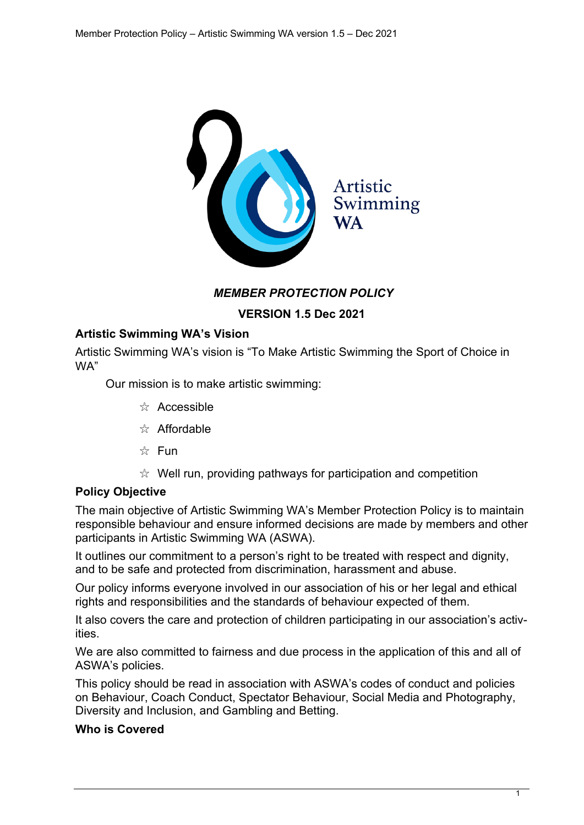

### *MEMBER PROTECTION POLICY*

**VERSION 1.5 Dec 2021**

## **Artistic Swimming WA's Vision**

Artistic Swimming WA's vision is "To Make Artistic Swimming the Sport of Choice in WA"

Our mission is to make artistic swimming:

- $\frac{1}{2}$  Accessible
- $\frac{1}{2}$  Affordable
- $\frac{1}{2}$  Fun
- $\mathbb{R}$  Well run, providing pathways for participation and competition

#### **Policy Objective**

The main objective of Artistic Swimming WA's Member Protection Policy is to maintain responsible behaviour and ensure informed decisions are made by members and other participants in Artistic Swimming WA (ASWA).

It outlines our commitment to a person's right to be treated with respect and dignity, and to be safe and protected from discrimination, harassment and abuse.

Our policy informs everyone involved in our association of his or her legal and ethical rights and responsibilities and the standards of behaviour expected of them.

It also covers the care and protection of children participating in our association's activities.

We are also committed to fairness and due process in the application of this and all of ASWA's policies.

This policy should be read in association with ASWA's codes of conduct and policies on Behaviour, Coach Conduct, Spectator Behaviour, Social Media and Photography, Diversity and Inclusion, and Gambling and Betting.

#### **Who is Covered**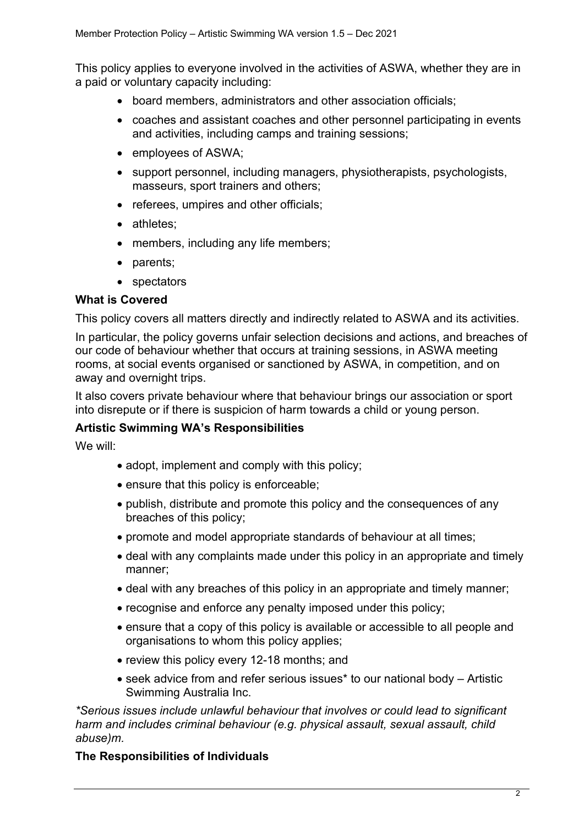This policy applies to everyone involved in the activities of ASWA, whether they are in a paid or voluntary capacity including:

- board members, administrators and other association officials;
- coaches and assistant coaches and other personnel participating in events and activities, including camps and training sessions;
- employees of ASWA;
- support personnel, including managers, physiotherapists, psychologists, masseurs, sport trainers and others;
- referees, umpires and other officials;
- athletes;
- members, including any life members;
- parents;
- spectators

#### **What is Covered**

This policy covers all matters directly and indirectly related to ASWA and its activities.

In particular, the policy governs unfair selection decisions and actions, and breaches of our code of behaviour whether that occurs at training sessions, in ASWA meeting rooms, at social events organised or sanctioned by ASWA, in competition, and on away and overnight trips.

It also covers private behaviour where that behaviour brings our association or sport into disrepute or if there is suspicion of harm towards a child or young person.

## **Artistic Swimming WA's Responsibilities**

We will:

- adopt, implement and comply with this policy;
- ensure that this policy is enforceable;
- publish, distribute and promote this policy and the consequences of any breaches of this policy;
- promote and model appropriate standards of behaviour at all times;
- deal with any complaints made under this policy in an appropriate and timely manner;
- deal with any breaches of this policy in an appropriate and timely manner;
- recognise and enforce any penalty imposed under this policy;
- ensure that a copy of this policy is available or accessible to all people and organisations to whom this policy applies;
- review this policy every 12-18 months; and
- seek advice from and refer serious issues\* to our national body Artistic Swimming Australia Inc.

*\*Serious issues include unlawful behaviour that involves or could lead to significant harm and includes criminal behaviour (e.g. physical assault, sexual assault, child abuse)m.*

## **The Responsibilities of Individuals**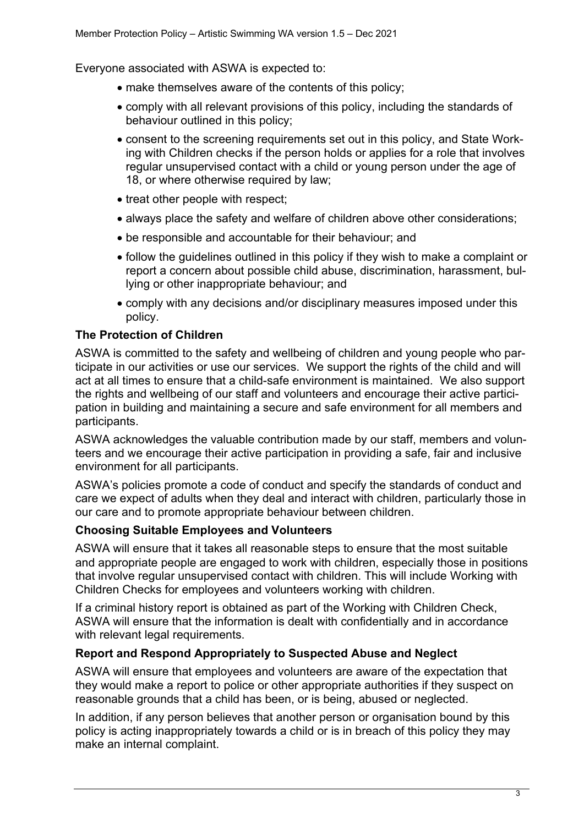Everyone associated with ASWA is expected to:

- make themselves aware of the contents of this policy;
- comply with all relevant provisions of this policy, including the standards of behaviour outlined in this policy;
- consent to the screening requirements set out in this policy, and State Working with Children checks if the person holds or applies for a role that involves regular unsupervised contact with a child or young person under the age of 18, or where otherwise required by law;
- treat other people with respect;
- always place the safety and welfare of children above other considerations;
- be responsible and accountable for their behaviour; and
- follow the guidelines outlined in this policy if they wish to make a complaint or report a concern about possible child abuse, discrimination, harassment, bullying or other inappropriate behaviour; and
- comply with any decisions and/or disciplinary measures imposed under this policy.

#### **The Protection of Children**

ASWA is committed to the safety and wellbeing of children and young people who participate in our activities or use our services. We support the rights of the child and will act at all times to ensure that a child-safe environment is maintained. We also support the rights and wellbeing of our staff and volunteers and encourage their active participation in building and maintaining a secure and safe environment for all members and participants.

ASWA acknowledges the valuable contribution made by our staff, members and volunteers and we encourage their active participation in providing a safe, fair and inclusive environment for all participants.

ASWA's policies promote a code of conduct and specify the standards of conduct and care we expect of adults when they deal and interact with children, particularly those in our care and to promote appropriate behaviour between children.

#### **Choosing Suitable Employees and Volunteers**

ASWA will ensure that it takes all reasonable steps to ensure that the most suitable and appropriate people are engaged to work with children, especially those in positions that involve regular unsupervised contact with children. This will include Working with Children Checks for employees and volunteers working with children.

If a criminal history report is obtained as part of the Working with Children Check, ASWA will ensure that the information is dealt with confidentially and in accordance with relevant legal requirements.

#### **Report and Respond Appropriately to Suspected Abuse and Neglect**

ASWA will ensure that employees and volunteers are aware of the expectation that they would make a report to police or other appropriate authorities if they suspect on reasonable grounds that a child has been, or is being, abused or neglected.

In addition, if any person believes that another person or organisation bound by this policy is acting inappropriately towards a child or is in breach of this policy they may make an internal complaint.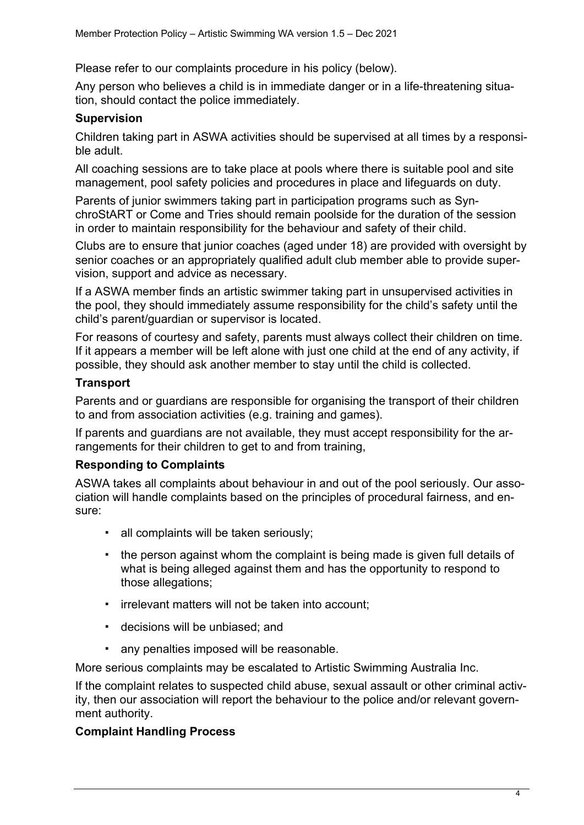Please refer to our complaints procedure in his policy (below).

Any person who believes a child is in immediate danger or in a life-threatening situation, should contact the police immediately.

## **Supervision**

Children taking part in ASWA activities should be supervised at all times by a responsible adult.

All coaching sessions are to take place at pools where there is suitable pool and site management, pool safety policies and procedures in place and lifeguards on duty.

Parents of junior swimmers taking part in participation programs such as SynchroStART or Come and Tries should remain poolside for the duration of the session in order to maintain responsibility for the behaviour and safety of their child.

Clubs are to ensure that junior coaches (aged under 18) are provided with oversight by senior coaches or an appropriately qualified adult club member able to provide supervision, support and advice as necessary.

If a ASWA member finds an artistic swimmer taking part in unsupervised activities in the pool, they should immediately assume responsibility for the child's safety until the child's parent/guardian or supervisor is located.

For reasons of courtesy and safety, parents must always collect their children on time. If it appears a member will be left alone with just one child at the end of any activity, if possible, they should ask another member to stay until the child is collected.

## **Transport**

Parents and or guardians are responsible for organising the transport of their children to and from association activities (e.g. training and games).

If parents and guardians are not available, they must accept responsibility for the arrangements for their children to get to and from training,

## **Responding to Complaints**

ASWA takes all complaints about behaviour in and out of the pool seriously. Our association will handle complaints based on the principles of procedural fairness, and ensure:

- " all complaints will be taken seriously;
- " the person against whom the complaint is being made is given full details of what is being alleged against them and has the opportunity to respond to those allegations;
- irrelevant matters will not be taken into account;
- " decisions will be unbiased; and
- " any penalties imposed will be reasonable.

More serious complaints may be escalated to Artistic Swimming Australia Inc.

If the complaint relates to suspected child abuse, sexual assault or other criminal activity, then our association will report the behaviour to the police and/or relevant government authority.

## **Complaint Handling Process**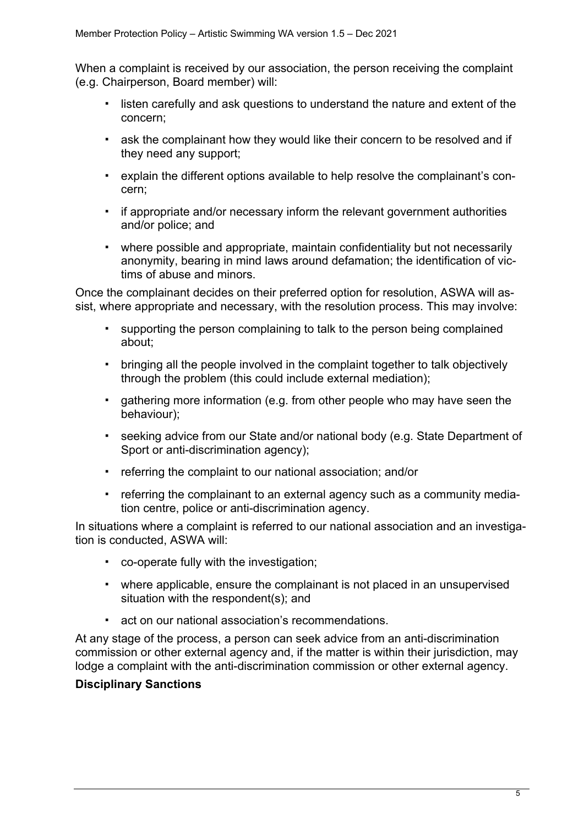When a complaint is received by our association, the person receiving the complaint (e.g. Chairperson, Board member) will:

- " listen carefully and ask questions to understand the nature and extent of the concern;
- \* ask the complainant how they would like their concern to be resolved and if they need any support;
- " explain the different options available to help resolve the complainant's concern;
- if appropriate and/or necessary inform the relevant government authorities and/or police; and
- " where possible and appropriate, maintain confidentiality but not necessarily anonymity, bearing in mind laws around defamation; the identification of victims of abuse and minors.

Once the complainant decides on their preferred option for resolution, ASWA will assist, where appropriate and necessary, with the resolution process. This may involve:

- " supporting the person complaining to talk to the person being complained about;
- " bringing all the people involved in the complaint together to talk objectively through the problem (this could include external mediation);
- " gathering more information (e.g. from other people who may have seen the behaviour);
- " seeking advice from our State and/or national body (e.g. State Department of Sport or anti-discrimination agency);
- " referring the complaint to our national association; and/or
- " referring the complainant to an external agency such as a community mediation centre, police or anti-discrimination agency.

In situations where a complaint is referred to our national association and an investigation is conducted, ASWA will:

- " co-operate fully with the investigation;
- " where applicable, ensure the complainant is not placed in an unsupervised situation with the respondent(s); and
- act on our national association's recommendations.

At any stage of the process, a person can seek advice from an anti-discrimination commission or other external agency and, if the matter is within their jurisdiction, may lodge a complaint with the anti-discrimination commission or other external agency.

## **Disciplinary Sanctions**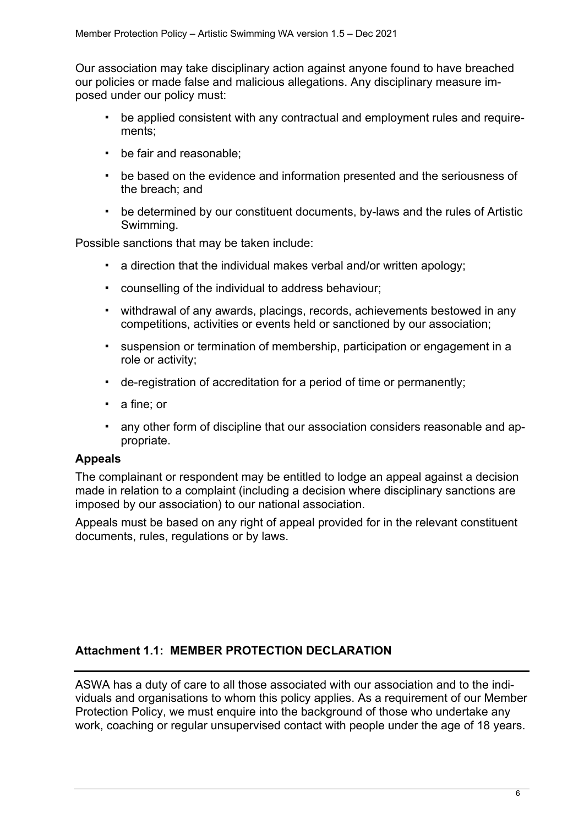Our association may take disciplinary action against anyone found to have breached our policies or made false and malicious allegations. Any disciplinary measure imposed under our policy must:

- " be applied consistent with any contractual and employment rules and requirements;
- " be fair and reasonable;
- " be based on the evidence and information presented and the seriousness of the breach; and
- " be determined by our constituent documents, by-laws and the rules of Artistic Swimming.

Possible sanctions that may be taken include:

- a direction that the individual makes verbal and/or written apology;
- " counselling of the individual to address behaviour;
- " withdrawal of any awards, placings, records, achievements bestowed in any competitions, activities or events held or sanctioned by our association;
- " suspension or termination of membership, participation or engagement in a role or activity;
- " de-registration of accreditation for a period of time or permanently;
- a fine: or
- any other form of discipline that our association considers reasonable and appropriate.

#### **Appeals**

The complainant or respondent may be entitled to lodge an appeal against a decision made in relation to a complaint (including a decision where disciplinary sanctions are imposed by our association) to our national association.

Appeals must be based on any right of appeal provided for in the relevant constituent documents, rules, regulations or by laws.

## **Attachment 1.1: MEMBER PROTECTION DECLARATION**

ASWA has a duty of care to all those associated with our association and to the individuals and organisations to whom this policy applies. As a requirement of our Member Protection Policy, we must enquire into the background of those who undertake any work, coaching or regular unsupervised contact with people under the age of 18 years.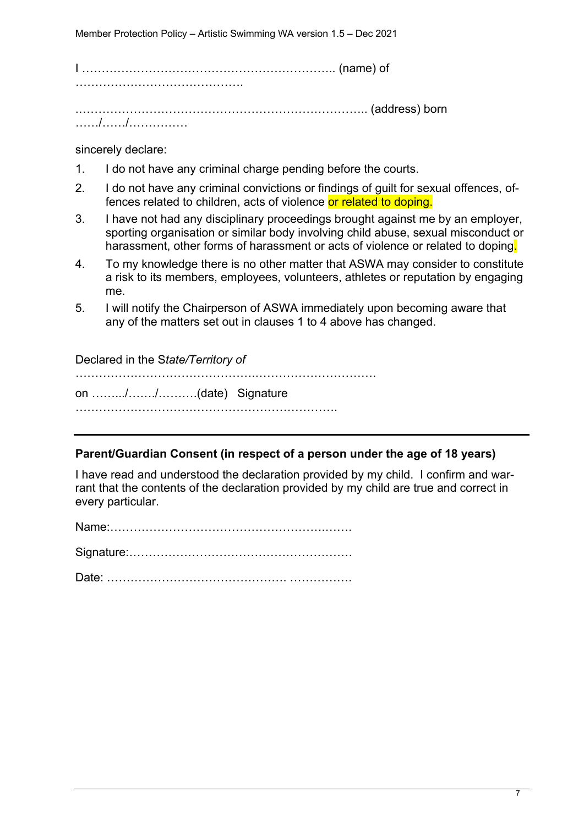I ……………………………………………………….. (name) of …………………………………….

.……………………………………………………………….. (address) born ……/……/……………

sincerely declare:

- 1. I do not have any criminal charge pending before the courts.
- 2. I do not have any criminal convictions or findings of guilt for sexual offences, offences related to children, acts of violence or related to doping.
- 3. I have not had any disciplinary proceedings brought against me by an employer, sporting organisation or similar body involving child abuse, sexual misconduct or harassment, other forms of harassment or acts of violence or related to doping.
- 4. To my knowledge there is no other matter that ASWA may consider to constitute a risk to its members, employees, volunteers, athletes or reputation by engaging me.
- 5. I will notify the Chairperson of ASWA immediately upon becoming aware that any of the matters set out in clauses 1 to 4 above has changed.

### Declared in the S*tate/Territory of*

……………………………………….…………………………. on …….../……./……….(date) Signature

………………………………………………………….

## **Parent/Guardian Consent (in respect of a person under the age of 18 years)**

I have read and understood the declaration provided by my child. I confirm and warrant that the contents of the declaration provided by my child are true and correct in every particular.

Name:……………………………………………….…….

Signature:…………………………………………………

Date: ………………………………………. …………….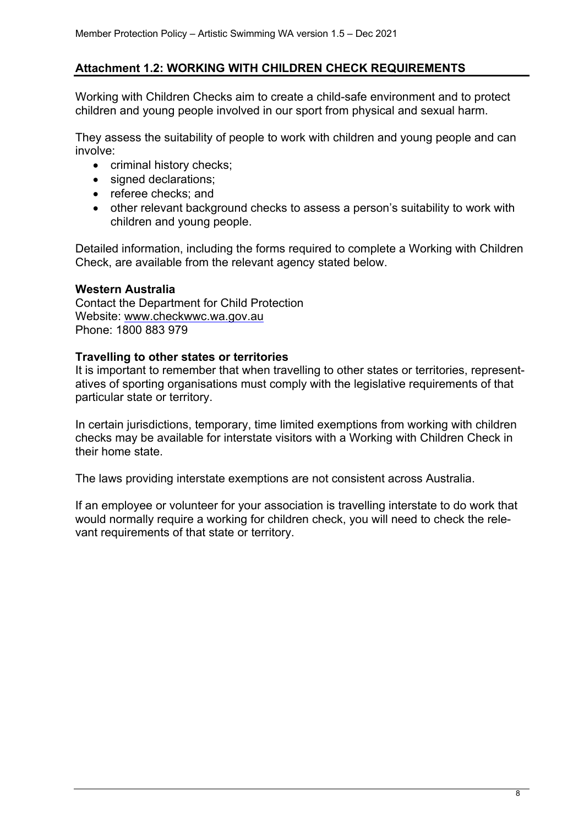## **Attachment 1.2: WORKING WITH CHILDREN CHECK REQUIREMENTS**

Working with Children Checks aim to create a child-safe environment and to protect children and young people involved in our sport from physical and sexual harm.

They assess the suitability of people to work with children and young people and can involve:

- criminal history checks;
- signed declarations;
- referee checks; and
- other relevant background checks to assess a person's suitability to work with children and young people.

Detailed information, including the forms required to complete a Working with Children Check, are available from the relevant agency stated below.

#### **Western Australia**

Contact the Department for Child Protection Website: www.checkwwc.wa.gov.au Phone: 1800 883 979

### **Travelling to other states or territories**

It is important to remember that when travelling to other states or territories, representatives of sporting organisations must comply with the legislative requirements of that particular state or territory.

In certain jurisdictions, temporary, time limited exemptions from working with children checks may be available for interstate visitors with a Working with Children Check in their home state.

The laws providing interstate exemptions are not consistent across Australia.

If an employee or volunteer for your association is travelling interstate to do work that would normally require a working for children check, you will need to check the relevant requirements of that state or territory.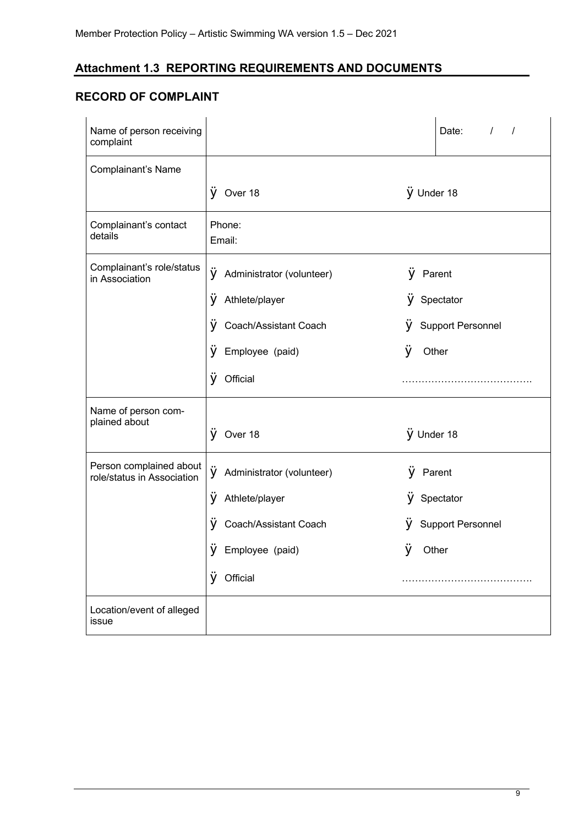## **Attachment 1.3 REPORTING REQUIREMENTS AND DOCUMENTS**

# **RECORD OF COMPLAINT**

| Name of person receiving<br>complaint                 |                                |                   | Date:<br>$\prime$<br>$\prime$ |
|-------------------------------------------------------|--------------------------------|-------------------|-------------------------------|
| Complainant's Name                                    |                                |                   |                               |
|                                                       | $\hat{V}$ Over 18              | <b>ÿ</b> Under 18 |                               |
| Complainant's contact<br>details                      | Phone:<br>Email:               |                   |                               |
| Complainant's role/status<br>in Association           | ÿ<br>Administrator (volunteer) | ÿ<br>Parent       |                               |
|                                                       | Athlete/player<br>У            | V                 | Spectator                     |
|                                                       | ÿ<br>Coach/Assistant Coach     |                   | <b>Support Personnel</b>      |
|                                                       | Employee (paid)<br>ÿ           | ÿ                 | Other                         |
|                                                       | <b>ÿ</b> Official              |                   |                               |
| Name of person com-<br>plained about                  | $\ddot{V}$ Over 18             | <b>ÿ</b> Under 18 |                               |
| Person complained about<br>role/status in Association | ÿ<br>Administrator (volunteer) | ÿ                 | Parent                        |
|                                                       | Athlete/player<br>у            |                   | Spectator                     |
|                                                       | Coach/Assistant Coach<br>у     | v                 | <b>Support Personnel</b>      |
|                                                       | ÿ<br>Employee (paid)           | ÿ                 | Other                         |
|                                                       | V<br>Official                  |                   |                               |
| Location/event of alleged<br>issue                    |                                |                   |                               |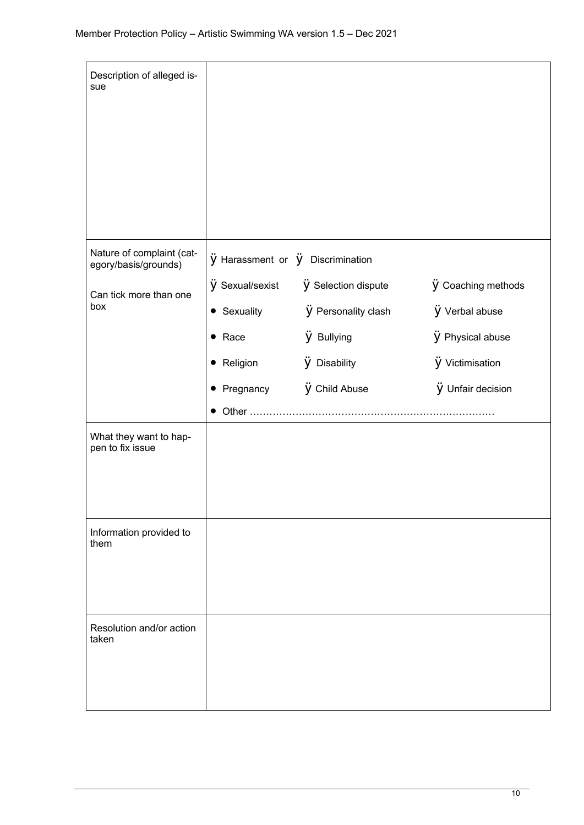| Description of alleged is-<br>sue                 |                                                    |                            |                           |
|---------------------------------------------------|----------------------------------------------------|----------------------------|---------------------------|
| Nature of complaint (cat-<br>egory/basis/grounds) | $\ddot{y}$ Harassment or $\ddot{y}$ Discrimination |                            |                           |
| Can tick more than one                            | <b>y</b> Sexual/sexist                             | <b>ÿ</b> Selection dispute | <b>ÿ</b> Coaching methods |
| box                                               | • Sexuality                                        | <b>ÿ</b> Personality clash | <b>ÿ</b> Verbal abuse     |
|                                                   | $\bullet$ Race                                     | <b>ÿ</b> Bullying          | <b>ÿ</b> Physical abuse   |
|                                                   | • Religion                                         | <b>ÿ</b> Disability        | <b>ÿ</b> Victimisation    |
|                                                   | • Pregnancy                                        | <b>ÿ</b> Child Abuse       | <b>ÿ</b> Unfair decision  |
|                                                   |                                                    |                            |                           |
| What they want to hap-<br>pen to fix issue        |                                                    |                            |                           |
| Information provided to<br>them                   |                                                    |                            |                           |
| Resolution and/or action<br>taken                 |                                                    |                            |                           |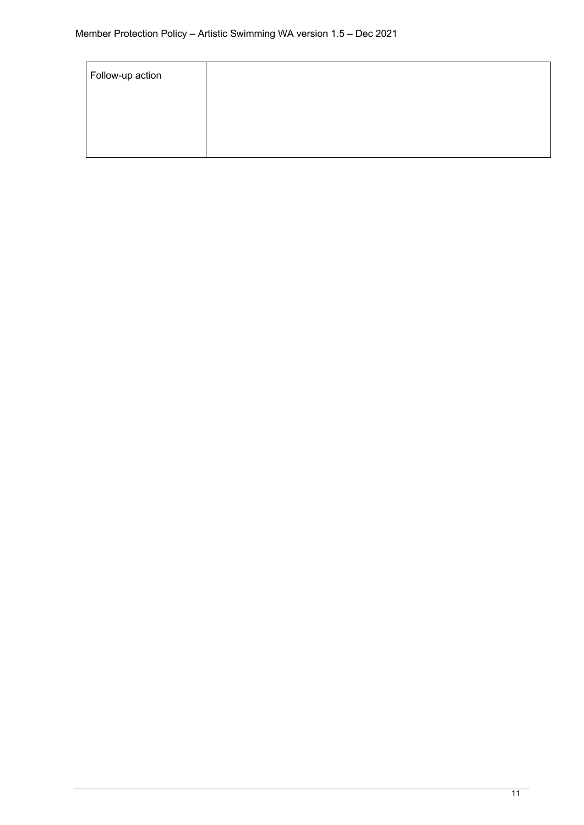| Follow-up action |  |  |
|------------------|--|--|
|                  |  |  |
|                  |  |  |
|                  |  |  |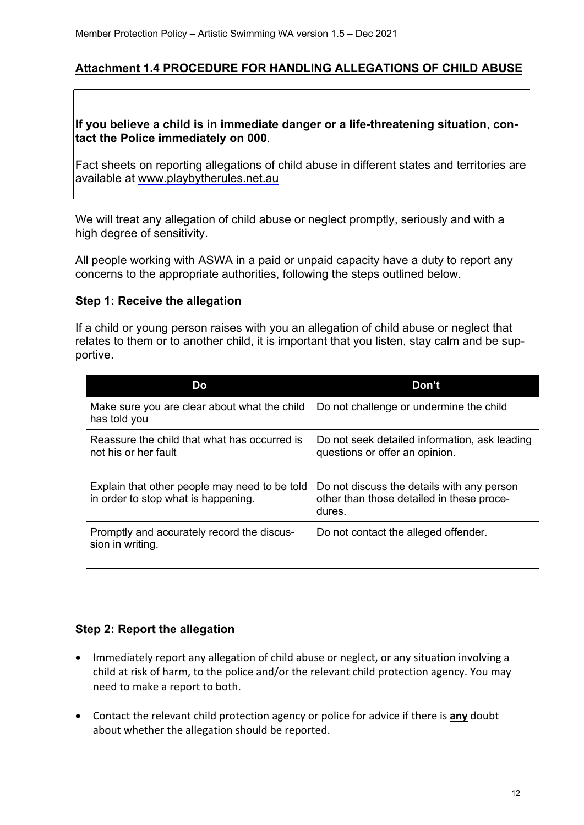### **Attachment 1.4 PROCEDURE FOR HANDLING ALLEGATIONS OF CHILD ABUSE**

#### **If you believe a child is in immediate danger or a life-threatening situation**, **contact the Police immediately on 000**.

Fact sheets on reporting allegations of child abuse in different states and territories are available at www.playbytherules.net.au

We will treat any allegation of child abuse or neglect promptly, seriously and with a high degree of sensitivity.

All people working with ASWA in a paid or unpaid capacity have a duty to report any concerns to the appropriate authorities, following the steps outlined below.

#### **Step 1: Receive the allegation**

If a child or young person raises with you an allegation of child abuse or neglect that relates to them or to another child, it is important that you listen, stay calm and be supportive.

| Do                                                                                   | Don't                                                                                             |
|--------------------------------------------------------------------------------------|---------------------------------------------------------------------------------------------------|
| Make sure you are clear about what the child<br>has told you                         | Do not challenge or undermine the child                                                           |
| Reassure the child that what has occurred is<br>not his or her fault                 | Do not seek detailed information, ask leading<br>questions or offer an opinion.                   |
| Explain that other people may need to be told<br>in order to stop what is happening. | Do not discuss the details with any person<br>other than those detailed in these proce-<br>dures. |
| Promptly and accurately record the discus-<br>sion in writing.                       | Do not contact the alleged offender.                                                              |

#### **Step 2: Report the allegation**

- Immediately report any allegation of child abuse or neglect, or any situation involving a child at risk of harm, to the police and/or the relevant child protection agency. You may need to make a report to both.
- Contact the relevant child protection agency or police for advice if there is **any** doubt about whether the allegation should be reported.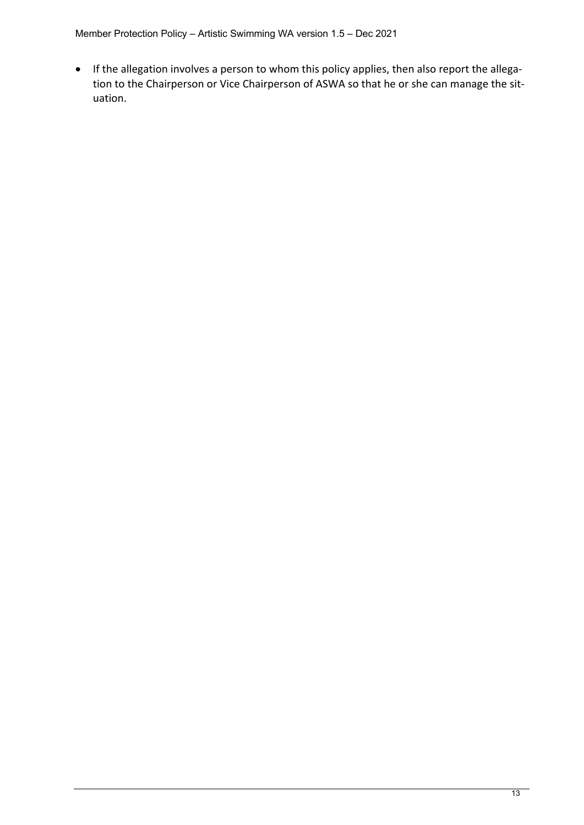Member Protection Policy – Artistic Swimming WA version 1.5 – Dec 2021

• If the allegation involves a person to whom this policy applies, then also report the allegation to the Chairperson or Vice Chairperson of ASWA so that he or she can manage the situation.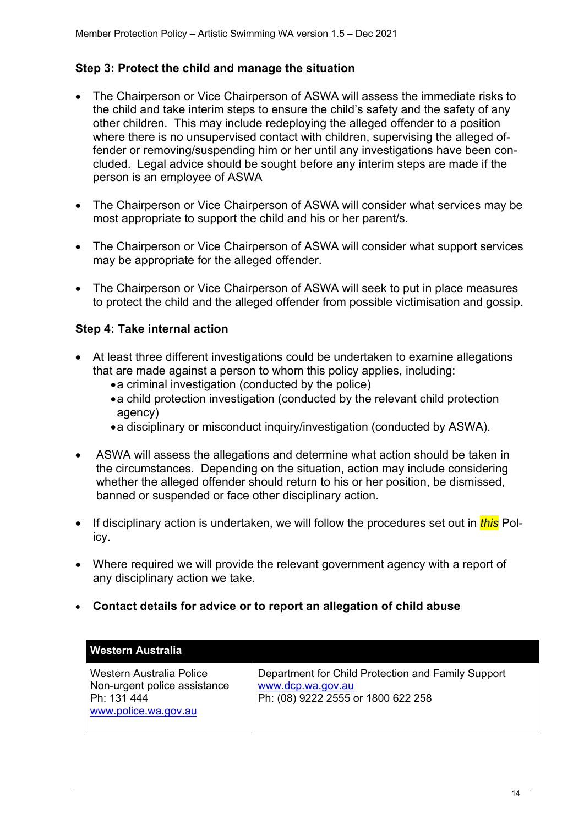### **Step 3: Protect the child and manage the situation**

- The Chairperson or Vice Chairperson of ASWA will assess the immediate risks to the child and take interim steps to ensure the child's safety and the safety of any other children. This may include redeploying the alleged offender to a position where there is no unsupervised contact with children, supervising the alleged offender or removing/suspending him or her until any investigations have been concluded. Legal advice should be sought before any interim steps are made if the person is an employee of ASWA
- The Chairperson or Vice Chairperson of ASWA will consider what services may be most appropriate to support the child and his or her parent/s.
- The Chairperson or Vice Chairperson of ASWA will consider what support services may be appropriate for the alleged offender.
- The Chairperson or Vice Chairperson of ASWA will seek to put in place measures to protect the child and the alleged offender from possible victimisation and gossip.

### **Step 4: Take internal action**

- At least three different investigations could be undertaken to examine allegations that are made against a person to whom this policy applies, including:
	- •a criminal investigation (conducted by the police)
	- •a child protection investigation (conducted by the relevant child protection agency)
	- •a disciplinary or misconduct inquiry/investigation (conducted by ASWA).
- ASWA will assess the allegations and determine what action should be taken in the circumstances. Depending on the situation, action may include considering whether the alleged offender should return to his or her position, be dismissed, banned or suspended or face other disciplinary action.
- If disciplinary action is undertaken, we will follow the procedures set out in *this* Policy.
- Where required we will provide the relevant government agency with a report of any disciplinary action we take.
- **Contact details for advice or to report an allegation of child abuse**

| Western Australia                                                                               |                                                                                                               |
|-------------------------------------------------------------------------------------------------|---------------------------------------------------------------------------------------------------------------|
| Western Australia Police<br>Non-urgent police assistance<br>Ph: 131 444<br>www.police.wa.gov.au | Department for Child Protection and Family Support<br>www.dcp.wa.gov.au<br>Ph: (08) 9222 2555 or 1800 622 258 |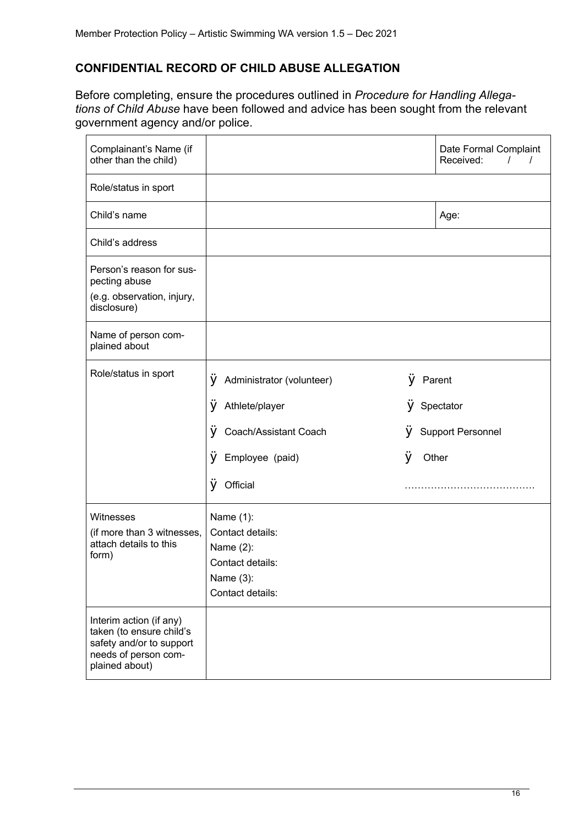## **CONFIDENTIAL RECORD OF CHILD ABUSE ALLEGATION**

Before completing, ensure the procedures outlined in *Procedure for Handling Allegations of Child Abuse* have been followed and advice has been sought from the relevant government agency and/or police.

| Complainant's Name (if<br>other than the child)                                                                           |                                                                                                 |   | Date Formal Complaint<br>Received: |
|---------------------------------------------------------------------------------------------------------------------------|-------------------------------------------------------------------------------------------------|---|------------------------------------|
| Role/status in sport                                                                                                      |                                                                                                 |   |                                    |
| Child's name                                                                                                              |                                                                                                 |   | Age:                               |
| Child's address                                                                                                           |                                                                                                 |   |                                    |
| Person's reason for sus-<br>pecting abuse<br>(e.g. observation, injury,<br>disclosure)                                    |                                                                                                 |   |                                    |
| Name of person com-<br>plained about                                                                                      |                                                                                                 |   |                                    |
| Role/status in sport                                                                                                      | ÿ<br>Administrator (volunteer)                                                                  | ÿ | Parent                             |
|                                                                                                                           | ÿ<br>Athlete/player                                                                             | v | Spectator                          |
|                                                                                                                           | ÿ<br>Coach/Assistant Coach                                                                      | ۷ | <b>Support Personnel</b>           |
|                                                                                                                           | ÿ<br>Employee (paid)                                                                            | ÿ | Other                              |
|                                                                                                                           | ÿ<br>Official                                                                                   |   |                                    |
| Witnesses<br>(if more than 3 witnesses,<br>attach details to this<br>form)                                                | Name (1):<br>Contact details:<br>Name (2):<br>Contact details:<br>Name (3):<br>Contact details: |   |                                    |
| Interim action (if any)<br>taken (to ensure child's<br>safety and/or to support<br>needs of person com-<br>plained about) |                                                                                                 |   |                                    |